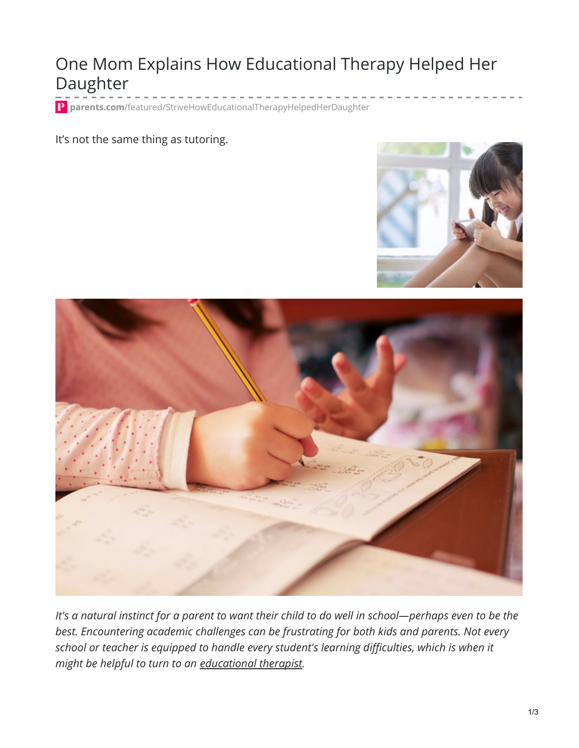## One Mom Explains How Educational Therapy Helped Her Daughter

**parents.com**[/featured/StriveHowEducationalTherapyHelpedHerDaughter](https://www.parents.com/featured/StriveHowEducationalTherapyHelpedHerDaughter?sm_r=nbgVVo)

## It's not the same thing as tutoring.





It's a natural instinct for a parent to want their child to do well in school-perhaps even to be the *best. Encountering academic challenges can be frustrating for both kids and parents. Not every school or teacher is equipped to handle every student's learning difficulties, which is when it might be helpful to turn to an [educational](http://nild.org/educational-therapist/) therapist.*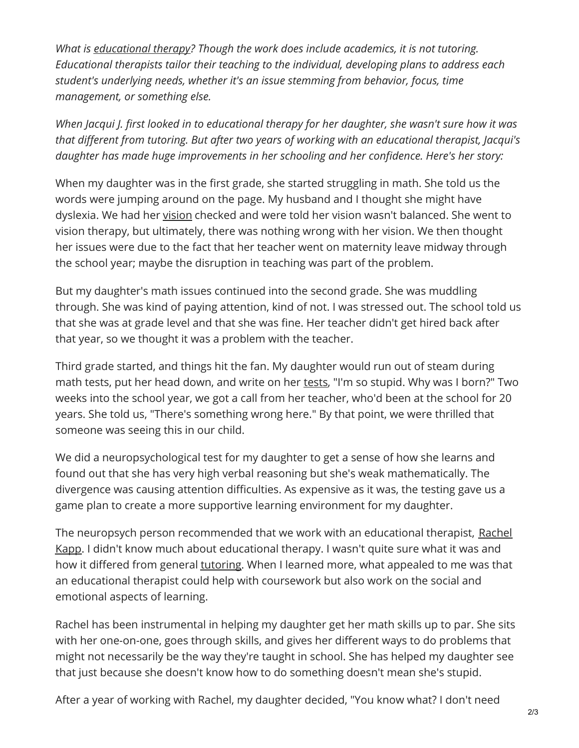*What is [educational](https://www.understood.org/en/learning-attention-issues/treatments-approaches/therapies/what-you-need-to-know-about-educational-therapy) therapy? Though the work does include academics, it is not tutoring. Educational therapists tailor their teaching to the individual, developing plans to address each student's underlying needs, whether it's an issue stemming from behavior, focus, time management, or something else.*

*When Jacqui J. first looked in to educational therapy for her daughter, she wasn't sure how it was that different from tutoring. But after two years of working with an educational therapist, Jacqui's daughter has made huge improvements in her schooling and her confidence. Here's her story:*

When my daughter was in the first grade, she started struggling in math. She told us the words were jumping around on the page. My husband and I thought she might have dyslexia. We had her [vision](https://www.parents.com/health/eyes/common-vision-problems/) checked and were told her vision wasn't balanced. She went to vision therapy, but ultimately, there was nothing wrong with her vision. We then thought her issues were due to the fact that her teacher went on maternity leave midway through the school year; maybe the disruption in teaching was part of the problem.

But my daughter's math issues continued into the second grade. She was muddling through. She was kind of paying attention, kind of not. I was stressed out. The school told us that she was at grade level and that she was fine. Her teacher didn't get hired back after that year, so we thought it was a problem with the teacher.

Third grade started, and things hit the fan. My daughter would run out of steam during math [tests](https://www.parents.com/kids/education/tests/help-kids-ace-tests/), put her head down, and write on her tests, "I'm so stupid. Why was I born?" Two weeks into the school year, we got a call from her teacher, who'd been at the school for 20 years. She told us, "There's something wrong here." By that point, we were thrilled that someone was seeing this in our child.

We did a neuropsychological test for my daughter to get a sense of how she learns and found out that she has very high verbal reasoning but she's weak mathematically. The divergence was causing attention difficulties. As expensive as it was, the testing gave us a game plan to create a more supportive learning environment for my daughter.

The neuropsych person [recommended](https://www.kappedtherapy.com/) that we work with an educational therapist, Rachel Kapp. I didn't know much about educational therapy. I wasn't quite sure what it was and how it differed from general [tutoring](https://www.parents.com/kids/education/homework/6-signs-your-child-needs-a-tutor/). When I learned more, what appealed to me was that an educational therapist could help with coursework but also work on the social and emotional aspects of learning.

Rachel has been instrumental in helping my daughter get her math skills up to par. She sits with her one-on-one, goes through skills, and gives her different ways to do problems that might not necessarily be the way they're taught in school. She has helped my daughter see that just because she doesn't know how to do something doesn't mean she's stupid.

After a year of working with Rachel, my daughter decided, "You know what? I don't need